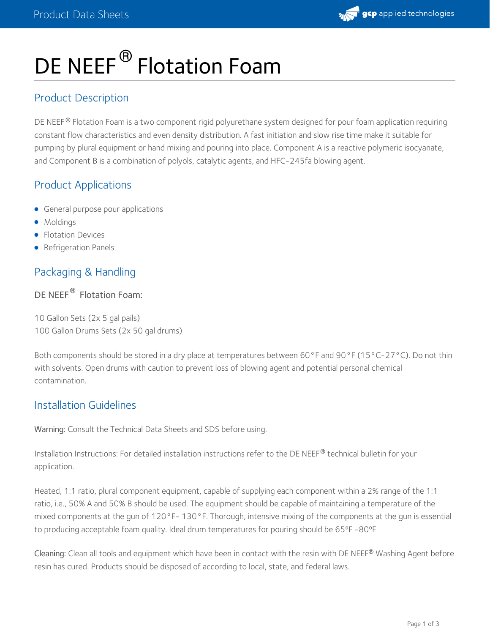

# DE NEEF<sup>®</sup> Flotation Foam

## Product Description

DE NEEF® Flotation Foam is a two component rigid polyurethane system designed for pour foam application requiring constant flow characteristics and even density distribution. A fast initiation and slow rise time make it suitable for pumping by plural equipment or hand mixing and pouring into place. Component A is a reactive polymeric isocyanate, and Component B is a combination of polyols, catalytic agents, and HFC-245fa blowing agent.

### Product Applications

- **General purpose pour applications**
- Moldings
- Flotation Devices
- Refrigeration Panels

# Packaging & Handling

#### DE NEEF<sup>®</sup> Flotation Foam:

10 Gallon Sets (2x 5 gal pails) 100 Gallon Drums Sets (2x 50 gal drums)

Both components should be stored in a dry place at temperatures between 60°F and 90°F (15°C-27°C). Do not thin with solvents. Open drums with caution to prevent loss of blowing agent and potential personal chemical contamination.

#### Installation Guidelines

Warning: Consult the Technical Data Sheets and SDS before using.

Installation Instructions: For detailed installation instructions refer to the DE NEEF $^\circledR$  technical bulletin for your application.

Heated, 1:1 ratio, plural component equipment, capable of supplying each component within a 2% range of the 1:1 ratio, i.e., 50% A and 50% B should be used. The equipment should be capable of maintaining a temperature of the mixed components at the gun of 120°F- 130°F. Thorough, intensive mixing of the components at the gun is essential to producing acceptable foam quality. Ideal drum temperatures for pouring should be 65°F -80°F

**Cleaning:** Clean all tools and equipment which have been in contact with the resin with DE NEEF® Washing Agent before resin has cured. Products should be disposed of according to local, state, and federal laws.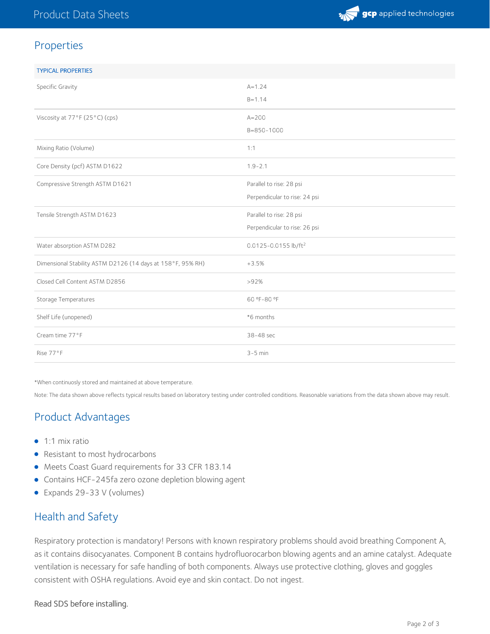

#### Properties

| <b>TYPICAL PROPERTIES</b>                                   |                                  |
|-------------------------------------------------------------|----------------------------------|
| Specific Gravity                                            | $A = 1.24$                       |
|                                                             | $B = 1.14$                       |
| Viscosity at 77°F (25°C) (cps)                              | $A = 200$                        |
|                                                             | $B = 850 - 1000$                 |
| Mixing Ratio (Volume)                                       | 1:1                              |
| Core Density (pcf) ASTM D1622                               | $1.9 - 2.1$                      |
| Compressive Strength ASTM D1621                             | Parallel to rise: 28 psi         |
|                                                             | Perpendicular to rise: 24 psi    |
| Tensile Strength ASTM D1623                                 | Parallel to rise: 28 psi         |
|                                                             | Perpendicular to rise: 26 psi    |
| Water absorption ASTM D282                                  | 0.0125-0.0155 lb/ft <sup>2</sup> |
| Dimensional Stability ASTM D2126 (14 days at 158°F, 95% RH) | $+3.5%$                          |
| Closed Cell Content ASTM D2856                              | >92%                             |
| Storage Temperatures                                        | 60 °F-80 °F                      |
| Shelf Life (unopened)                                       | *6 months                        |
| Cream time 77°F                                             | 38-48 sec                        |
| Rise 77°F                                                   | $3-5$ min                        |

\*When continuosly stored and maintained at above temperature.

Note: The data shown above reflects typical results based on laboratory testing under controlled conditions. Reasonable variations from the data shown above may result.

# Product Advantages

- 1:1 mix ratio
- Resistant to most hydrocarbons
- Meets Coast Guard requirements for 33 CFR 183.14
- Contains HCF-245fa zero ozone depletion blowing agent
- Expands 29-33 V (volumes)

#### Health and Safety

Respiratory protection is mandatory! Persons with known respiratory problems should avoid breathing Component A, as it contains diisocyanates. Component B contains hydrofluorocarbon blowing agents and an amine catalyst. Adequate ventilation is necessary for safe handling of both components. Always use protective clothing, gloves and goggles consistent with OSHA regulations. Avoid eye and skin contact. Do not ingest.

#### Read SDS before installing.